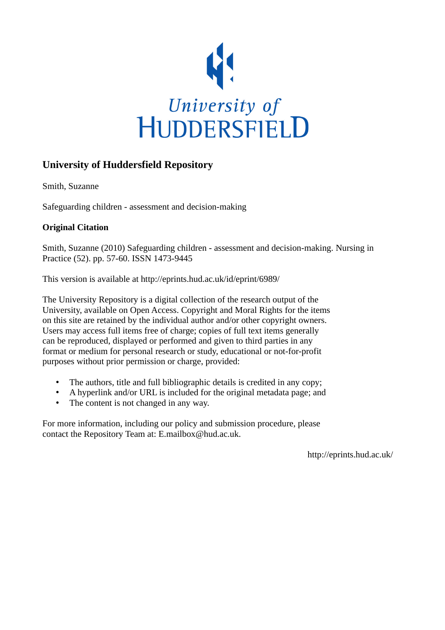

# **University of Huddersfield Repository**

Smith, Suzanne

Safeguarding children - assessment and decision-making

# **Original Citation**

Smith, Suzanne (2010) Safeguarding children - assessment and decision-making. Nursing in Practice (52). pp. 57-60. ISSN 1473-9445

This version is available at http://eprints.hud.ac.uk/id/eprint/6989/

The University Repository is a digital collection of the research output of the University, available on Open Access. Copyright and Moral Rights for the items on this site are retained by the individual author and/or other copyright owners. Users may access full items free of charge; copies of full text items generally can be reproduced, displayed or performed and given to third parties in any format or medium for personal research or study, educational or not-for-profit purposes without prior permission or charge, provided:

- The authors, title and full bibliographic details is credited in any copy;
- A hyperlink and/or URL is included for the original metadata page; and
- The content is not changed in any way.

For more information, including our policy and submission procedure, please contact the Repository Team at: E.mailbox@hud.ac.uk.

http://eprints.hud.ac.uk/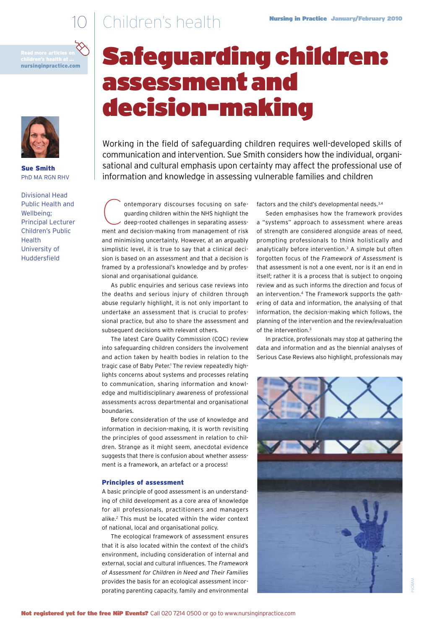# 10 Children's health **Nursing in Practice January/February 2010**

nursinginpractice.com



Sue Smith PhD MA RGN RHV

Divisional Head Public Health and Wellbeing; Principal Lecturer Children's Public Health University of Huddersfield

# Safeguarding children: assessment and decision-making

information and knowledge in assessing vulnerable families and children Working in the field of safeguarding children requires well-developed skills of communication and intervention. Sue Smith considers how the individual, organisational and cultural emphasis upon certainty may affect the professional use of

Oron temporary discourses focusing on safe-<br>guarding children within the NHS highlight the<br>deep-rooted challenges in separating assess-<br>most and decision making from management of siek guarding children within the NHS highlight the guarding children within the NHS highlight the<br>deep-rooted challenges in separating assessment and decision-making from management of risk ment and decision-making from management of risk<br>and minimising uncertainty. However, at an arguably sion is based on an assessment and that a decision is framed by a professional's knowledge and by professional and organisational guidance. simplistic level, it is true to say that a clinical deci-

As public enquiries and serious case reviews into sional practice, but also to share the assessment and the deaths and serious injury of children through abuse regularly highlight, it is not only important to undertake an assessment that is crucial to professubsequent decisions with relevant others.

The latest Care Quality Commission (CQC) review and action taken by health bodies in relation to the lights concerns about systems and processes relating edge and multidisciplinary awareness of professional tragic case of Baby Peter.<sup>1</sup> The review repeatedly highto communication, sharing information and knowlinto safeguarding children considers the involvement assessments across departmental and organisational boundaries.

Before consideration of the use of knowledge and information in decision-making, it is worth revisiting the principles of good assessment in relation to children. Strange as it might seem, anecdotal evidence suggests that there is confusion about whether assessment is a framework, an artefact or a process!

## Principles of assessment

A basic principle of good assessment is an understanding of child development as a core area of knowledge for all professionals, practitioners and managers alike.2 This must be located within the wider context of national, local and organisational policy.

The ecological framework of assessment ensures that it is also located within the context of the child's environment, including consideration of internal and external, social and cultural influences. The *Framework of Assessment for Children in Need and Their Families*  provides the basis for an ecological assessment incorporating parenting capacity, family and environmental factors and the child's developmental needs.3,4

Seden emphasises how the framework provides a "systems" approach to assessment where areas of strength are considered alongside areas of need, prompting professionals to think holistically and analytically before intervention.3 A simple but often forgotten focus of the *Framework of Assessment* is that assessment is not a one event, nor is it an end in itself; rather it is a process that is subject to ongoing review and as such informs the direction and focus of an intervention.<sup>4</sup> The Framework supports the gathering of data and information, the analysing of that information, the decision-making which follows, the planning of the intervention and the review/evaluation of the intervention.3

In practice, professionals may stop at gathering the data and information and as the biennial analyses of Serious Case Reviews also highlight, professionals may

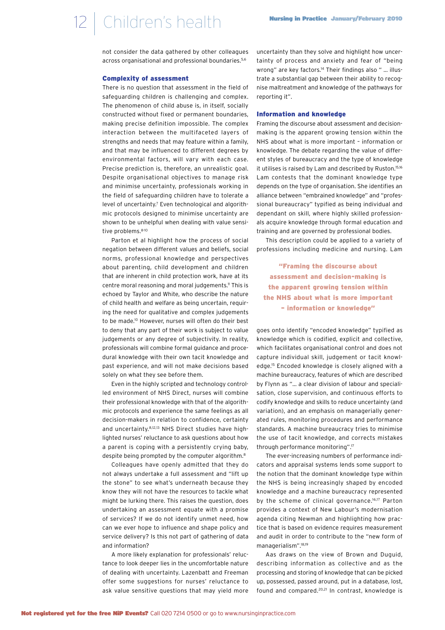not consider the data gathered by other colleagues across organisational and professional boundaries.<sup>5,6</sup>

## Complexity of assessment

There is no question that assessment in the field of safeguarding children is challenging and complex. The phenomenon of child abuse is, in itself, socially constructed without fixed or permanent boundaries, making precise definition impossible. The complex interaction between the multifaceted layers of strengths and needs that may feature within a family, and that may be influenced to different degrees by environmental factors, will vary with each case. Precise prediction is, therefore, an unrealistic goal. Despite organisational objectives to manage risk and minimise uncertainty, professionals working in the field of safeguarding children have to tolerate a level of uncertainty.<sup>7</sup> Even technological and algorithmic protocols designed to minimise uncertainty are shown to be unhelpful when dealing with value sensitive problems.8-10

Parton et al highlight how the process of social negation between different values and beliefs, social norms, professional knowledge and perspectives about parenting, child development and children that are inherent in child protection work, have at its centre moral reasoning and moral judgements.<sup>11</sup> This is echoed by Taylor and White, who describe the nature of child health and welfare as being uncertain, requiring the need for qualitative and complex judgements to be made.10 However, nurses will often do their best to deny that any part of their work is subject to value judgements or any degree of subjectivity. In reality, professionals will combine formal guidance and procedural knowledge with their own tacit knowledge and past experience, and will not make decisions based solely on what they see before them.

Even in the highly scripted and technology controlled environment of NHS Direct, nurses will combine their professional knowledge with that of the algorithmic protocols and experience the same feelings as all decision-makers in relation to confidence, certainty and uncertainty.8,12,13 NHS Direct studies have highlighted nurses' reluctance to ask questions about how a parent is coping with a persistently crying baby, despite being prompted by the computer algorithm.<sup>8</sup>

Colleagues have openly admitted that they do not always undertake a full assessment and "lift up the stone" to see what's underneath because they know they will not have the resources to tackle what might be lurking there. This raises the question, does undertaking an assessment equate with a promise of services? If we do not identify unmet need, how can we ever hope to influence and shape policy and service delivery? Is this not part of gathering of data and information?

A more likely explanation for professionals' reluctance to look deeper lies in the uncomfortable nature of dealing with uncertainty. Lazenbatt and Freeman offer some suggestions for nurses' reluctance to ask value sensitive questions that may yield more uncertainty than they solve and highlight how uncertainty of process and anxiety and fear of "being wrong" are key factors.<sup>14</sup> Their findings also " ... illustrate a substantial gap between their ability to recognise maltreatment and knowledge of the pathways for reporting it".

#### Information and knowledge

Framing the discourse about assessment and decisionmaking is the apparent growing tension within the NHS about what is more important – information or knowledge. The debate regarding the value of different styles of bureaucracy and the type of knowledge it utilises is raised by Lam and described by Ruston.<sup>15,16</sup> Lam contests that the dominant knowledge type depends on the type of organisation. She identifies an alliance between "embrained knowledge" and "professional bureaucracy" typified as being individual and dependant on skill, where highly skilled professionals acquire knowledge through formal education and training and are governed by professional bodies.

This description could be applied to a variety of professions including medicine and nursing. Lam

"Framing the discourse about assessment and decision-making is the apparent growing tension within the NHS about what is more important – information or knowledge"

goes onto identify "encoded knowledge" typified as knowledge which is codified, explicit and collective, which facilitates organisational control and does not capture individual skill, judgement or tacit knowledge.15 Encoded knowledge is closely aligned with a machine bureaucracy, features of which are described by Flynn as "… a clear division of labour and specialisation, close supervision, and continuous efforts to codify knowledge and skills to reduce uncertainty (and variation), and an emphasis on managerially generated rules, monitoring procedures and performance standards. A machine bureaucracy tries to minimise the use of tacit knowledge, and corrects mistakes through performance monitoring".17

The ever-increasing numbers of performance indicators and appraisal systems lends some support to the notion that the dominant knowledge type within the NHS is being increasingly shaped by encoded knowledge and a machine bureaucracy represented by the scheme of clinical governance.<sup>16,17</sup> Parton provides a context of New Labour's modernisation agenda citing Newman and highlighting how practice that is based on evidence requires measurement and audit in order to contribute to the "new form of managerialism".18,19

Aas draws on the view of Brown and Duguid, describing information as collective and as the processing and storing of knowledge that can be picked up, possessed, passed around, put in a database, lost, found and compared.20,21 In contrast, knowledge is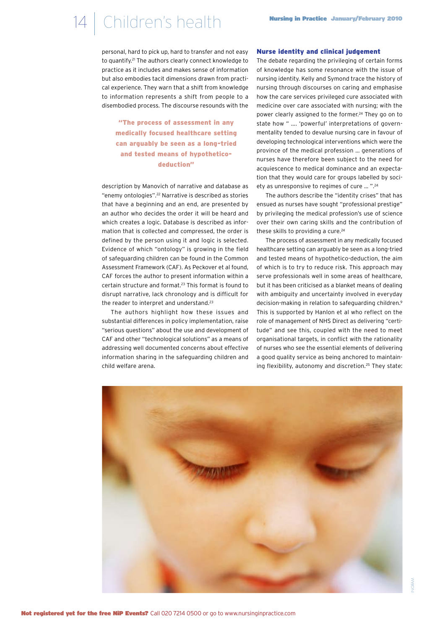## 14 Children's health **Nursing in Practice January/February 2010**

personal, hard to pick up, hard to transfer and not easy to quantify.21 The authors clearly connect knowledge to practice as it includes and makes sense of information but also embodies tacit dimensions drawn from practical experience. They warn that a shift from knowledge to information represents a shift from people to a disembodied process. The discourse resounds with the

"The process of assessment in any medically focused healthcare setting can arguably be seen as a long-tried and tested means of hypotheticodeduction"

description by Manovich of narrative and database as "enemy ontologies".22 Narrative is described as stories that have a beginning and an end, are presented by an author who decides the order it will be heard and which creates a logic. Database is described as information that is collected and compressed, the order is defined by the person using it and logic is selected. Evidence of which "ontology" is growing in the field of safeguarding children can be found in the Common Assessment Framework (CAF). As Peckover et al found, CAF forces the author to present information within a certain structure and format.23 This format is found to disrupt narrative, lack chronology and is difficult for the reader to interpret and understand.23

The authors highlight how these issues and substantial differences in policy implementation, raise "serious questions" about the use and development of CAF and other "technological solutions" as a means of addressing well documented concerns about effective information sharing in the safeguarding children and child welfare arena.

### Nurse identity and clinical judgement

The debate regarding the privileging of certain forms of knowledge has some resonance with the issue of nursing identity. Kelly and Symond trace the history of nursing through discourses on caring and emphasise how the care services privileged cure associated with medicine over care associated with nursing; with the power clearly assigned to the former.<sup>24</sup> They go on to state how " …. 'powerful' interpretations of governmentality tended to devalue nursing care in favour of developing technological interventions which were the province of the medical profession … generations of nurses have therefore been subject to the need for acquiescence to medical dominance and an expectation that they would care for groups labelled by society as unresponsive to regimes of cure … ".24

The authors describe the "identity crises" that has ensued as nurses have sought "professional prestige" by privileging the medical profession's use of science over their own caring skills and the contribution of these skills to providing a cure.<sup>24</sup>

The process of assessment in any medically focused healthcare setting can arguably be seen as a long-tried and tested means of hypothetico-deduction, the aim of which is to try to reduce risk. This approach may serve professionals well in some areas of healthcare, but it has been criticised as a blanket means of dealing with ambiguity and uncertainty involved in everyday decision-making in relation to safeguarding children.<sup>9</sup> This is supported by Hanlon et al who reflect on the role of management of NHS Direct as delivering "certitude" and see this, coupled with the need to meet organisational targets, in conflict with the rationality of nurses who see the essential elements of delivering a good quality service as being anchored to maintaining flexibility, autonomy and discretion.<sup>25</sup> They state: